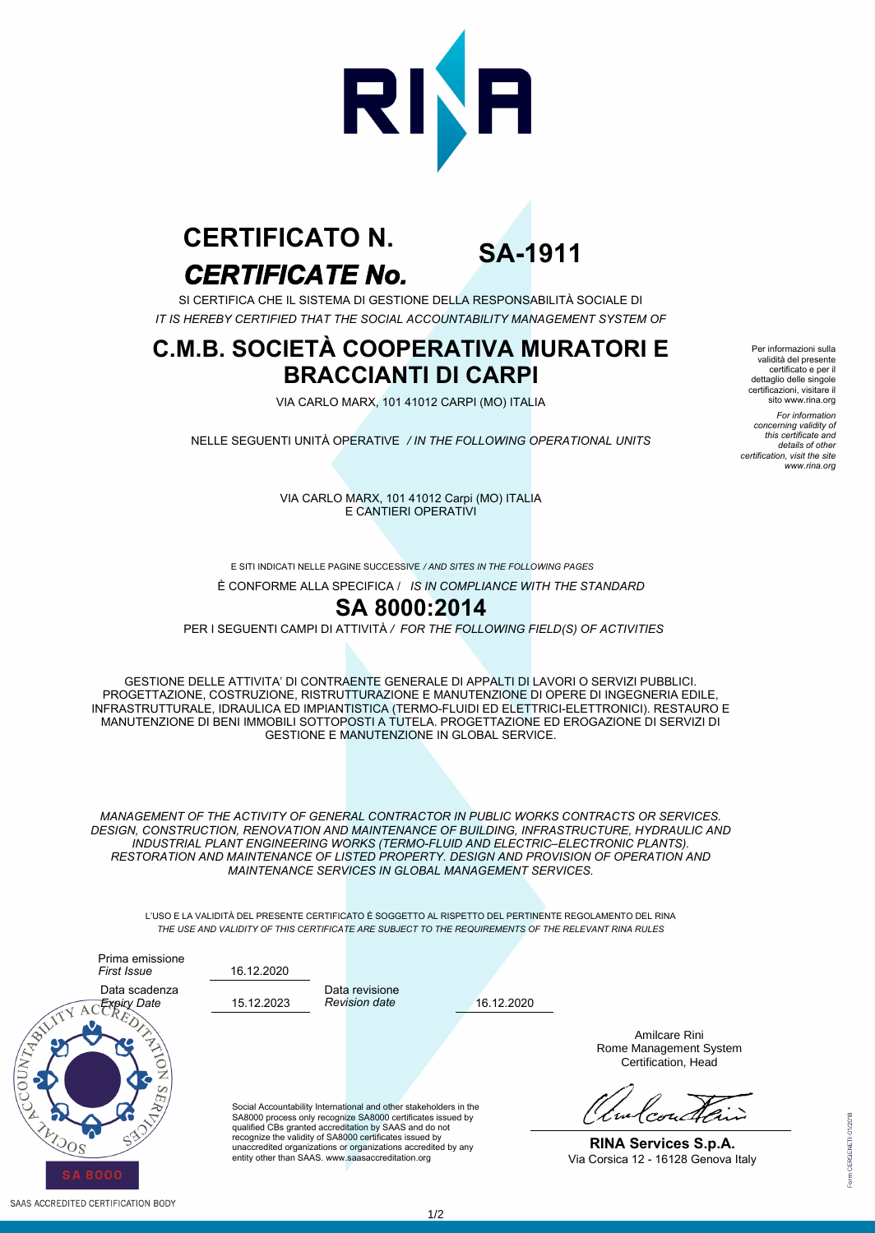

# *CERTIFICATE No.* **CERTIFICATO N.**

**SA-1911**

SI CERTIFICA CHE IL SISTEMA DI GESTIONE DELLA RESPONSABILITÀ SOCIALE DI *IT IS HEREBY CERTIFIED THAT THE SOCIAL ACCOUNTABILITY MANAGEMENT SYSTEM OF*

### **C.M.B. SOCIETÀ COOPERATIVA MURATORI E BRACCIANTI DI CARPI**

VIA CARLO MARX, 101 41012 CARPI (MO) ITALIA

NELLE SEGUENTI UNITÀ OPERATIVE */ IN THE FOLLOWING OPERATIONAL UNITS*

certificato e per il dettaglio delle singole certificazioni, visitare il sito www.rina.org *For information concerning validity of this certificate and details of other certification, visit the site www.rina.org*

Per informazioni sulla validità del presente

VIA CARLO MARX, 101 41012 Carpi (MO) ITALIA E CANTIERI OPERATIVI

E SITI INDICATI NELLE PAGINE SUCCESSIVE */ AND SITES IN THE FOLLOWING PAGES*

È CONFORME ALLA SPECIFICA / *IS IN COMPLIANCE WITH THE STANDARD*

### **SA 8000:2014**

PER I SEGUENTI CAMPI DI ATTIVITÀ */ FOR THE FOLLOWING FIELD(S) OF ACTIVITIES*

GESTIONE DELLE ATTIVITA' DI CONTRAENTE GENERALE DI APPALTI DI LAVORI O SERVIZI PUBBLICI. PROGETTAZIONE, COSTRUZIONE, RISTRUTTURAZIONE E MANUTENZIONE DI OPERE DI INGEGNERIA EDILE, INFRASTRUTTURALE, IDRAULICA ED IMPIANTISTICA (TERMO-FLUIDI ED ELETTRICI-ELETTRONICI). RESTAURO E MANUTENZIONE DI BENI IMMOBILI SOTTOPOSTI A TUTELA. PROGETTAZIONE ED EROGAZIONE DI SERVIZI DI GESTIONE E MANUTENZIONE IN GLOBAL SERVICE.

*MANAGEMENT OF THE ACTIVITY OF GENERAL CONTRACTOR IN PUBLIC WORKS CONTRACTS OR SERVICES. DESIGN, CONSTRUCTION, RENOVATION AND MAINTENANCE OF BUILDING, INFRASTRUCTURE, HYDRAULIC AND INDUSTRIAL PLANT ENGINEERING WORKS (TERMO-FLUID AND ELECTRIC–ELECTRONIC PLANTS). RESTORATION AND MAINTENANCE OF LISTED PROPERTY. DESIGN AND PROVISION OF OPERATION AND MAINTENANCE SERVICES IN GLOBAL MANAGEMENT SERVICES.*

L'USO E LA VALIDITÀ DEL PRESENTE CERTIFICATO È SOGGETTO AL RISPETTO DEL PERTINENTE REGOLAMENTO DEL RINA *THE USE AND VALIDITY OF THIS CERTIFICATE ARE SUBJECT TO THE REQUIREMENTS OF THE RELEVANT RINA RULES*



SAAS ACCREDITED CERTIFICATION BODY

Data revisione *Revision date*

16.12.2020

16.12.2020

Social Accountability International and other stakeholders in the SA8000 process only recognize SA8000 certificates issued by qualified CBs granted accreditation by SAAS and do not recognize the validity of SA8000 certificates issued by unaccredited organizations or organizations accredited by any entity other than SAAS. www.saasaccreditation.org

Amilcare Rini Rome Management System Certification, Head

**RINA Services S.p.A.** Via Corsica 12 - 16128 Genova Italy